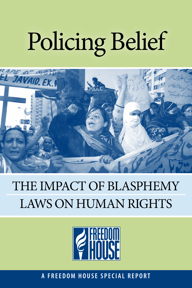# Policing Belief



### THE IMPACT OF BLASPHEMY Laws on Human Rights



**A F R E E D O M H O U S E S P E C I A L R E P O R T**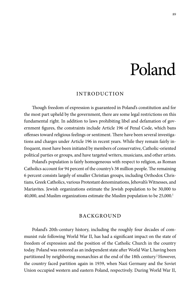## Poland

#### Introduction

Though freedom of expression is guaranteed in Poland's constitution and for the most part upheld by the government, there are some legal restrictions on this fundamental right. In addition to laws prohibiting libel and defamation of government figures, the constraints include Article 196 of Penal Code, which bans offenses toward religious feelings or sentiment. There have been several investigations and charges under Article 196 in recent years. While they remain fairly infrequent, most have been initiated by members of conservative, Catholic-oriented political parties or groups, and have targeted writers, musicians, and other artists.

Poland's population is fairly homogeneous with respect to religion, as Roman Catholics account for 94 percent of the country's 38 million people. The remaining 6 percent consists largely of smaller Christian groups, including Orthodox Christians, Greek Catholics, various Protestant denominations, Jehovah's Witnesses, and Mariavites. Jewish organizations estimate the Jewish population to be 30,000 to 40,000, and Muslim organizations estimate the Muslim population to be 25,000.<sup>1</sup>

#### Background

Poland's 20th-century history, including the roughly four decades of communist rule following World War II, has had a significant impact on the state of freedom of expression and the position of the Catholic Church in the country today. Poland was restored as an independent state after World War I, having been partitioned by neighboring monarchies at the end of the 18th century.<sup>2</sup> However, the country faced partition again in 1939, when Nazi Germany and the Soviet Union occupied western and eastern Poland, respectively. During World War II,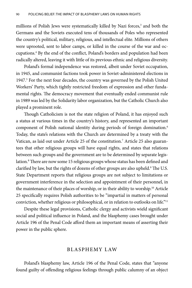millions of Polish Jews were systematically killed by Nazi forces,<sup>3</sup> and both the Germans and the Soviets executed tens of thousands of Poles who represented the country's political, military, religious, and intellectual elite. Millions of others were uprooted, sent to labor camps, or killed in the course of the war and occupations.4 By the end of the conflict, Poland's borders and population had been radically altered, leaving it with little of its previous ethnic and religious diversity.

Poland's formal independence was restored, albeit under Soviet occupation, in 1945, and communist factions took power in Soviet-administered elections in 1947.<sup>5</sup> For the next four decades, the country was governed by the Polish United Workers' Party, which tightly restricted freedom of expression and other fundamental rights. The democracy movement that eventually ended communist rule in 1989 was led by the Solidarity labor organization, but the Catholic Church also played a prominent role.

Though Catholicism is not the state religion of Poland, it has enjoyed such a status at various times in the country's history, and represented an important component of Polish national identity during periods of foreign domination.6 Today, the state's relations with the Church are determined by a treaty with the Vatican, as laid out under Article 25 of the constitution.<sup>7</sup> Article 25 also guarantees that other religious groups will have equal rights, and states that relations between such groups and the government are to be determined by separate legislation.<sup>8</sup> There are now some 15 religious groups whose status has been defined and clarified by law, but the rights of dozens of other groups are also upheld.<sup>9</sup> The U.S. State Department reports that religious groups are not subject to limitations or government interference in the selection and appointment of their personnel, in the maintenance of their places of worship, or in their ability to worship.10 Article 25 specifically requires Polish authorities to be "impartial in matters of personal conviction, whether religious or philosophical, or in relation to outlooks on life."11

Despite these legal provisions, Catholic clergy and activists wield significant social and political influence in Poland, and the blasphemy cases brought under Article 196 of the Penal Code afford them an important means of asserting their power in the public sphere.

#### Bl asphemy Law

Poland's blasphemy law, Article 196 of the Penal Code, states that "anyone found guilty of offending religious feelings through public calumny of an object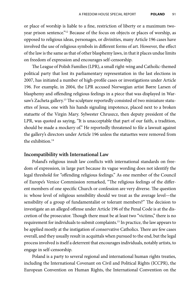or place of worship is liable to a fine, restriction of liberty or a maximum twoyear prison sentence."12 Because of the focus on objects or places of worship, as opposed to religious ideas, personages, or divinities, many Article 196 cases have involved the use of religious symbols in different forms of art. However, the effect of the law isthe same asthat of other blasphemy laws, in that it places undue limits on freedom of expression and encourages self-censorship.

The League of Polish Families (LPR), a small right-wing and Catholic-themed political party that lost its parliamentary representation in the last elections in 2007, has initiated a number of high-profile cases or investigations under Article 196. For example, in 2004, the LPR accused Norwegian artist Børre Larsen of blasphemy and offending religious feelings in a piece that was displayed in Warsaw's Zacheta gallery.<sup>13</sup> The sculpture reportedly consisted of two miniature statuettes of Jesus, one with his hands signaling impotence, placed next to a broken statuette of the Virgin Mary. Sylwester Chruszcz, then deputy president of the LPR, was quoted as saying, "It is unacceptable that part of our faith, a tradition, should be made a mockery of." He reportedly threatened to file a lawsuit against the gallery's directors under Article 196 unless the statuettes were removed from the exhibition.14

#### **Incompatibility with International Law**

Poland's religious insult law conflicts with international standards on freedom of expression, in large part because its vague wording does not identify the legal threshold for "offending religious feelings." As one member of the Council of Europe's Venice Commission remarked, "The religious feelings of the different members of one specific Church or confession are very diverse. The question is: whose level of religious sensibility should we treat as the average level—the sensibility of a group of fundamentalist or tolerant members?" The decision to investigate an an alleged offense under Article 196 of the Penal Code is at the discretion of the prosecutor. Though there must be at least two "victims," there is no requirement for individuals to submit complaints.15 In practice, the law appears to be applied mostly at the instigation of conservative Catholics. There are few cases overall, and they usually result in acquittals when pursued to the end, but the legal process involved is itself a deterrent that encourages individuals, notably artists, to engage in self-censorship.

Poland is a party to several regional and international human rights treaties, including the International Covenant on Civil and Political Rights (ICCPR), the European Convention on Human Rights, the International Convention on the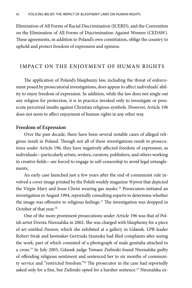Elimination of All Forms of Racial Discrimination (ICERD), and the Convention on the Elimination of All Forms of Discrimination Against Women (CEDAW). These agreements, in addition to Poland's own constitution, oblige the country to uphold and protect freedom of expression and opinion.

#### IMPACT ON THE ENJOYMENT OF HUMAN RIGHTS

The application of Poland's blasphemy law, including the threat of enforcement posed by prosecutorial investigations, does appearto affect individuals' ability to enjoy freedom of expression. In addition, while the law does not single out any religion for protection, it is in practice invoked only to investigate or prosecute perceived insults against Christian religious symbols. However, Article 196 does not seem to affect enjoyment of human rights in any other way.

#### **Freedom of Expression**

Over the past decade, there have been several notable cases of alleged religious insult in Poland. Though not all of these investigations result in prosecutions under Article 196, they have negatively affected freedom of expression, as individuals—particularly artists, writers, curators, publishers, and others working in creative fields—are forced to engage in self-censorship to avoid legal entanglements.

An early case launched just a few years after the end of communist rule involved a cover image printed by the Polish weekly magazine *Wprost* that depicted the Virgin Mary and Jesus Christ wearing gas masks.<sup>16</sup> Prosecutors initiated an investigation in August 1994, reportedly consulting experts to determine whether the image was offensive to religious feelings.17 The investigation was dropped in October of that year.<sup>18</sup>

One of the more prominent prosecutions under Article 196 was that of Polish artist Dorota Nieznalska in 2002. She was charged with blasphemy for a piece of art entitled *Passion*, which she exhibited at a gallery in Gdansk. LPR leader Robert Strak and lawmaker Gertruda Szumska had filed complaints after seeing the work, part of which consisted of a photograph of male genitalia attached to a cross.19 In July 2003, Gdansk judge Tomasz Zielinski found Nieznalska guilty of offending religious sentiment and sentenced her to six months of community service and "restricted freedom."20 The prosecutor in the case had reportedly asked only for a fine, but Zielinski opted for a harsher sentence.<sup>21</sup> Nieznalska ex-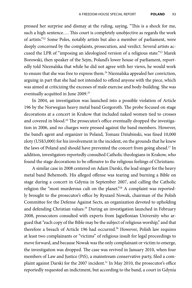pressed her surprise and dismay at the ruling, saying, "This is a shock for me, such a high sentence…. This court is completely unobjective as regards the work of artists."22 Some Poles, notably artists but also a member of parliament, were deeply concerned by the complaints, prosecution, and verdict. Several artists accused the LPR of "imposing an ideologized version of a religious state."23 Marek Borowski, then speaker of the Sejm, Poland's lower house of parliament, reportedly told Nieznalska that while he did not agree with her views, he would work to ensure that she was free to express them.<sup>24</sup> Nieznalska appealed her conviction, arguing in part that she had not intended to offend anyone with the piece, which was aimed at criticizing the excesses of male exercise and body-building. She was eventually acquitted in June 2009.<sup>25</sup>

In 2004, an investigation was launched into a possible violation of Article 196 by the Norwegian heavy metal band Gorgoroth. The probe focused on stage decorations at a concert in Krakow that included naked women tied to crosses and covered in blood.<sup>26</sup> The prosecutor's office eventually dropped the investigation in 2006, and no charges were pressed against the band members. However, the band's agent and organizer in Poland, Tomasz Dziubinski, was fined 10,000 zloty (US\$3,000) for his involvement in the incident, on the grounds that he knew the laws of Poland and should have prevented the concert from going ahead.<sup>27</sup> In addition, investigators reportedly consulted Catholic theologians in Krakow, who found the stage decorations to be offensive to the religious feelings of Christians.

A similar case in 2008 centered on Adam Darski, the lead singer for the heavy metal band Behemoth. His alleged offense was tearing and burning a Bible on stage during a concert in Gdynia in September 2007, and calling the Catholic religion the "most murderous cult on the planet."<sup>28</sup> A complaint was reportedly brought to the prosecutor's office by Ryszard Nowak, chairman of the Polish Committee for the Defense Against Sects, an organization devoted to upholding and defending Christian values.<sup>29</sup> During an investigation launched in February 2008, prosecutors consulted with experts from Jagiellonian University who argued that"each copy of the Bible may be the subject ofreligious worship," and that therefore a breach of Article 196 had occurred.<sup>30</sup> However, Polish law requires at least two complainants or "victims" of religious insult for legal proceedings to move forward, and because Nowak was the only complainant or victim to emerge, the investigation was dropped. The case was revived in January 2010, when four members of Law and Justice (PiS), a mainstream conservative party, filed a complaint against Darski for the 2007 incident.<sup>31</sup> In May 2010, the prosecutor's office reportedly requested an indictment, but according to the band, a court in Gdynia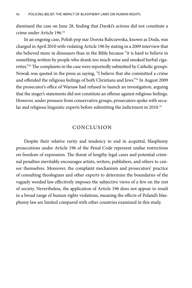dismissed the case on June 28, finding that Darski's actions did not constitute a crime under Article 196.32

In an ongoing case, Polish pop star Dorota Rabczewska, known as Doda, was charged in April 2010 with violating Article 196 by stating in a 2009 interview that she believed more in dinosaurs than in the Bible because "it is hard to believe in something written by people who drank too much wine and smoked herbal cigarettes."<sup>33</sup>The complaints in the case were reportedly submitted by Catholic groups. Nowak was quoted in the press as saying, "I believe that she committed a crime and offended the religious feelings of both Christians and Jews."34 In August 2009 the prosecutor's office of Warsaw had refused to launch an investigation, arguing that the singer's statements did not constitute an offense against religious feelings. However, under pressure from conservative groups, prosecutors spoke with secular and religious linguistic experts before submitting the indictment in 2010.<sup>35</sup>

#### Conclusion

Despite their relative rarity and tendency to end in acquittal, blasphemy prosecutions under Article 196 of the Penal Code represent undue restrictions on freedom of expression. The threat of lengthy legal cases and potential criminal penalties inevitably encourages artists, writers, publishers, and others to censor themselves. Moreover, the complaint mechanism and prosecutors' practice of consulting theologians and other experts to determine the boundaries of the vaguely worded law effectively imposes the subjective views of a few on the rest of society. Nevertheless, the application of Article 196 does not appear to result in a broad range of human rights violations, meaning the effects of Poland's blasphemy law are limited compared with other countries examined in this study.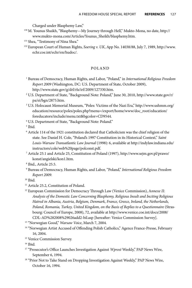Charged under Blasphemy Law,"

- <sup>130</sup> M. Younus Shaikh, "Blasphemy—My Journey through Hell," Mukto-Mona, no date, http:// www.mukto-mona.com/Articles/Younus\_Sheikh/blasphemy.htm.
- 131 Shea, "Testimony of Nina Shea."
- <sup>132</sup> European Court of Human Rights, *Soering v. UK*, App No. 14038/88, July 7, 1989, http://www. echr.coe.int/echr/en/hudoc/.

#### POLAND

- <sup>1</sup> Bureau of Democracy, Human Rights, and Labor, "Poland," in *International Religious Freedom Report 2009* (Washington, DC: U.S. Department of State, October 2009), http://www.state.gov/g/drl/rls/irf/2009/127330.htm.
- <sup>2</sup> U.S. Department of State, "Background Note: Poland," June 30, 2010, http://www.state.gov/r/ pa/ei/bgn/2875.htm.
- <sup>3</sup> U.S. Holocaust Memorial Museum, "Poles: Victims of the Nazi Era," http://www.ushmm.org/ education/resource/poles/poles.php?menu=/export/home/www/doc\_root/education/ foreducators/include/menu.txt&bgcolor=CD9544.
- <sup>4</sup> U.S. Department of State, "Background Note: Poland."

<sup>5</sup> Ibid.

- <sup>6</sup> Article 114 of the 1921 constitution declared that Catholicism was the chief religion of the state. See Daniel H. Cole, "Poland's 1997 Constitution in its Historical Context," *Saint Louis-Warsaw Transatlantic Law Journal* (1998): 6, available at http://indylaw.indiana.edu/ instructors/cole/web%20page/polconst.pdf.
- <sup>7</sup> Article 25.1 and Article 25, Constitution of Poland (1997), http://www.sejm.gov.pl/prawo/ konst/angielski/kon1.htm.
- <sup>8</sup> Ibid., Article 25.5.
- <sup>9</sup> Bureau of Democracy, Human Rights, and Labor, "Poland," *International Religious Freedom Report 2009*.

- <sup>11</sup> Article 25.2, Constitution of Poland.
- <sup>12</sup> European Commission for Democracy Through Law (Venice Commission), A*nnexe II: Analysis of the Domestic Law Concerning Blasphemy, Religious Insult and Inciting Religious Hatred in Albania, Austria, Belgium, Denmark, France, Greece, Ireland, the Netherlands,*  Poland, Romania, Turkey, United Kingdom, on the Basis of Replies to a Questionnaire (Strasbourg: Council of Europe, 2008), 72, available at http://www.venice.coe.int/docs/2008/ CDL-AD%282008%29026add2-bil.asp [hereafter: Venice Commission Survey].
- <sup>13</sup> "Norwegian Good," *Warsaw Voice*, March 7, 2004.
- <sup>14</sup> "Norwegian Artist Accused of Offending Polish Catholics," Agence France-Presse, February 16, 2004.
- <sup>15</sup> Venice Commission Survey.
- <sup>16</sup> Ibid.
- <sup>17</sup> "Prosecutor's Office Launches Investigation Against *Wprost* Weekly," PAP News Wire, September 6, 1994.
- <sup>18</sup> "Prior Not to Take Stand on Dropping Investigation Against Weekly," PAP News Wire, October 16, 1994.

<sup>10</sup> Ibid.